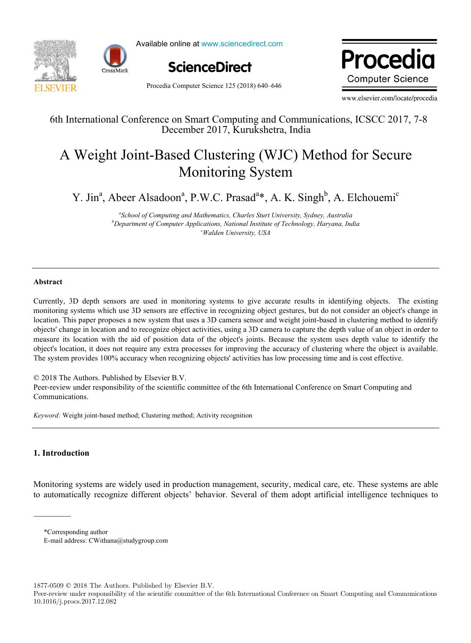



Available online at www.sciencedirect.com Available online at www.sciencedirect.com **Procedia**



Procedia Computer Science 125 (2018) 640–646

**Procedia Computer Science** 

www.elsevier.com/locate/procedia

# 6th International Conference on Smart Computing and Communications, ICSCC 2017, 7-8 December 2017, Kurukshetra, India

# A Weight Joint-Based Clustering (WJC) Method for Secure Monitoring System

Y. Jin<sup>a</sup>, Abeer Alsadoon<sup>a</sup>, P.W.C. Prasad<sup>a</sup>\*, A. K. Singh<sup>b</sup>, A. Elchouemi<sup>c</sup>

<sup>a</sup> School of Computing and Mathematics, Charles Sturt University, Sydney, Australia **b** Department of Computer Applications, National Institute of Technology, Harvana, Ind *Department of Computer Applications, National Institute of Technology, Haryana, India c Walden University, USA* 

# **Abstract**

Currently, 3D depth sensors are used in monitoring systems to give accurate results in identifying objects. The existing monitoring systems which use 3D sensors are effective in recognizing object gestures, but do not consider an object's change in location. This paper proposes a new system that uses a 3D camera sensor and weight joint-based in clustering method to identify objects' change in location and to recognize object activities, using a 3D camera to capture the depth value of an object in order to measure its location with the aid of position data of the object's joints. Because the system uses depth value to identify the object's location, it does not require any extra processes for improving the accuracy of clustering where the object is available. The system provides 100% accuracy when recognizing objects' activities has low processing time and is cost effective.

© 2018 The Authors. Published by Elsevier B.V.

Peer-review under responsibility of the scientific committee of the 6th International Conference on Smart Computing and Communications.

*Keyword:* Weight joint-based method; Clustering method; Activity recognition

# **1. Introduction**

Monitoring systems are widely used in production management, security, medical care, etc. These systems are able to automatically recognize different objects' behavior. Several of them adopt artificial intelligence techniques to

\*Corresponding author

E-mail address: CWithana@studygroup.com

1877-0509 © 2018 The Authors. Published by Elsevier B.V.

Peer-review under responsibility of the scientific committee of the 6th International Conference on Smart Computing and Communications 10.1016/j.procs.2017.12.082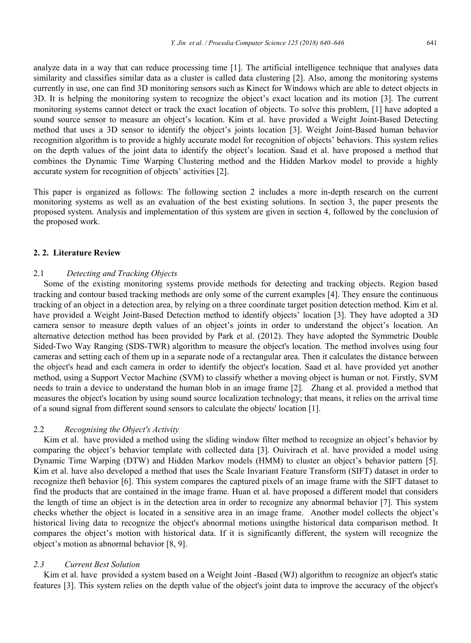analyze data in a way that can reduce processing time [1]. The artificial intelligence technique that analyses data similarity and classifies similar data as a cluster is called data clustering [2]. Also, among the monitoring systems currently in use, one can find 3D monitoring sensors such as Kinect for Windows which are able to detect objects in 3D. It is helping the monitoring system to recognize the object's exact location and its motion [3]. The current monitoring systems cannot detect or track the exact location of objects. To solve this problem, [1] have adopted a sound source sensor to measure an object's location. Kim et al. have provided a Weight Joint-Based Detecting method that uses a 3D sensor to identify the object's joints location [3]. Weight Joint-Based human behavior recognition algorithm is to provide a highly accurate model for recognition of objects' behaviors. This system relies on the depth values of the joint data to identify the object's location. Saad et al. have proposed a method that combines the Dynamic Time Warping Clustering method and the Hidden Markov model to provide a highly accurate system for recognition of objects' activities [2].

This paper is organized as follows: The following section 2 includes a more in-depth research on the current monitoring systems as well as an evaluation of the best existing solutions. In section 3, the paper presents the proposed system. Analysis and implementation of this system are given in section 4, followed by the conclusion of the proposed work.

## **2. 2. Literature Review**

#### 2.1 *Detecting and Tracking Objects*

Some of the existing monitoring systems provide methods for detecting and tracking objects. Region based tracking and contour based tracking methods are only some of the current examples [4]. They ensure the continuous tracking of an object in a detection area, by relying on a three coordinate target position detection method. Kim et al. have provided a Weight Joint-Based Detection method to identify objects' location [3]. They have adopted a 3D camera sensor to measure depth values of an object's joints in order to understand the object's location. An alternative detection method has been provided by Park et al. (2012). They have adopted the Symmetric Double Sided-Two Way Ranging (SDS-TWR) algorithm to measure the object's location. The method involves using four cameras and setting each of them up in a separate node of a rectangular area. Then it calculates the distance between the object's head and each camera in order to identify the object's location. Saad et al. have provided yet another method, using a Support Vector Machine (SVM) to classify whether a moving object is human or not. Firstly, SVM needs to train a device to understand the human blob in an image frame [2]. Zhang et al. provided a method that measures the object's location by using sound source localization technology; that means, it relies on the arrival time of a sound signal from different sound sensors to calculate the objects' location [1].

#### 2.2 *Recognising the Object's Activity*

Kim et al. have provided a method using the sliding window filter method to recognize an object's behavior by comparing the object's behavior template with collected data [3]. Ouivirach et al. have provided a model using Dynamic Time Warping (DTW) and Hidden Markov models (HMM) to cluster an object's behavior pattern [5]. Kim et al. have also developed a method that uses the Scale Invariant Feature Transform (SIFT) dataset in order to recognize theft behavior [6]. This system compares the captured pixels of an image frame with the SIFT dataset to find the products that are contained in the image frame. Huan et al. have proposed a different model that considers the length of time an object is in the detection area in order to recognize any abnormal behavior [7]. This system checks whether the object is located in a sensitive area in an image frame. Another model collects the object's historical living data to recognize the object's abnormal motions usingthe historical data comparison method. It compares the object's motion with historical data. If it is significantly different, the system will recognize the object's motion as abnormal behavior [8, 9].

# *2.3 Current Best Solution*

Kim et al. have provided a system based on a Weight Joint -Based (WJ) algorithm to recognize an object's static features [3]. This system relies on the depth value of the object's joint data to improve the accuracy of the object's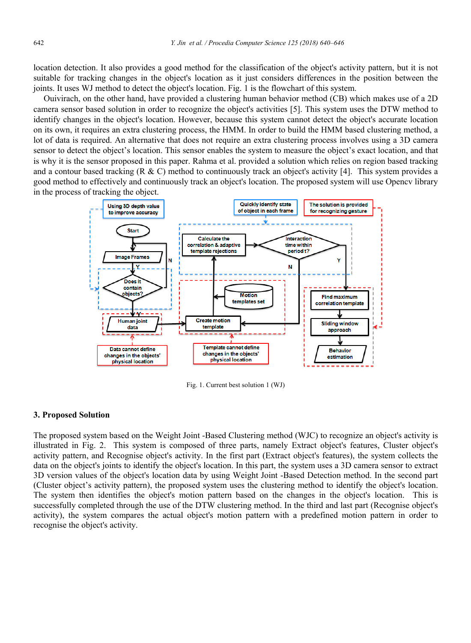location detection. It also provides a good method for the classification of the object's activity pattern, but it is not suitable for tracking changes in the object's location as it just considers differences in the position between the joints. It uses WJ method to detect the object's location. Fig. 1 is the flowchart of this system.

Ouivirach, on the other hand, have provided a clustering human behavior method (CB) which makes use of a 2D camera sensor based solution in order to recognize the object's activities [5]. This system uses the DTW method to identify changes in the object's location. However, because this system cannot detect the object's accurate location on its own, it requires an extra clustering process, the HMM. In order to build the HMM based clustering method, a lot of data is required. An alternative that does not require an extra clustering process involves using a 3D camera sensor to detect the object's location. This sensor enables the system to measure the object's exact location, and that is why it is the sensor proposed in this paper. Rahma et al. provided a solution which relies on region based tracking and a contour based tracking  $(R \& C)$  method to continuously track an object's activity [4]. This system provides a good method to effectively and continuously track an object's location. The proposed system will use Opencv library in the process of tracking the object.



Fig. 1. Current best solution 1 (WJ)

#### **3. Proposed Solution**

The proposed system based on the Weight Joint -Based Clustering method (WJC) to recognize an object's activity is illustrated in Fig. 2. This system is composed of three parts, namely Extract object's features, Cluster object's activity pattern, and Recognise object's activity. In the first part (Extract object's features), the system collects the data on the object's joints to identify the object's location. In this part, the system uses a 3D camera sensor to extract 3D version values of the object's location data by using Weight Joint -Based Detection method. In the second part (Cluster object's activity pattern), the proposed system uses the clustering method to identify the object's location. The system then identifies the object's motion pattern based on the changes in the object's location. This is successfully completed through the use of the DTW clustering method. In the third and last part (Recognise object's activity), the system compares the actual object's motion pattern with a predefined motion pattern in order to recognise the object's activity.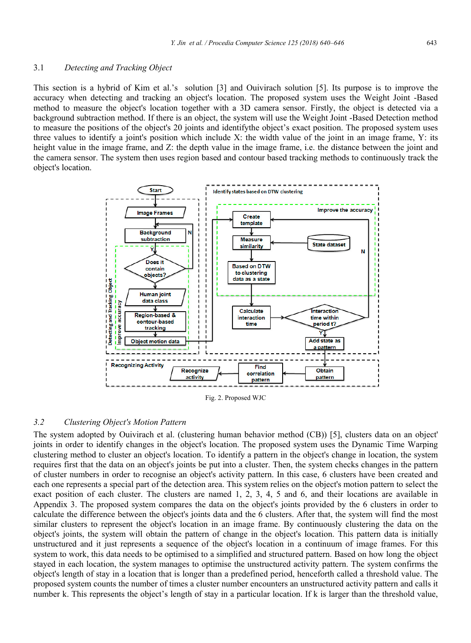## 3.1 *Detecting and Tracking Object*

This section is a hybrid of Kim et al.'s solution [3] and Ouivirach solution [5]. Its purpose is to improve the accuracy when detecting and tracking an object's location. The proposed system uses the Weight Joint -Based method to measure the object's location together with a 3D camera sensor. Firstly, the object is detected via a background subtraction method. If there is an object, the system will use the Weight Joint -Based Detection method to measure the positions of the object's 20 joints and identifythe object's exact position. The proposed system uses three values to identify a joint's position which include X: the width value of the joint in an image frame, Y: its height value in the image frame, and Z: the depth value in the image frame, i.e. the distance between the joint and the camera sensor. The system then uses region based and contour based tracking methods to continuously track the object's location.



Fig. 2. Proposed WJC

## *3.2 Clustering Object's Motion Pattern*

The system adopted by Ouivirach et al. (clustering human behavior method (CB)) [5], clusters data on an object' joints in order to identify changes in the object's location. The proposed system uses the Dynamic Time Warping clustering method to cluster an object's location. To identify a pattern in the object's change in location, the system requires first that the data on an object's joints be put into a cluster. Then, the system checks changes in the pattern of cluster numbers in order to recognise an object's activity pattern. In this case, 6 clusters have been created and each one represents a special part of the detection area. This system relies on the object's motion pattern to select the exact position of each cluster. The clusters are named 1, 2, 3, 4, 5 and 6, and their locations are available in Appendix 3. The proposed system compares the data on the object's joints provided by the 6 clusters in order to calculate the difference between the object's joints data and the 6 clusters. After that, the system will find the most similar clusters to represent the object's location in an image frame. By continuously clustering the data on the object's joints, the system will obtain the pattern of change in the object's location. This pattern data is initially unstructured and it just represents a sequence of the object's location in a continuum of image frames. For this system to work, this data needs to be optimised to a simplified and structured pattern. Based on how long the object stayed in each location, the system manages to optimise the unstructured activity pattern. The system confirms the object's length of stay in a location that is longer than a predefined period, henceforth called a threshold value. The proposed system counts the number of times a cluster number encounters an unstructured activity pattern and calls it number k. This represents the object's length of stay in a particular location. If k is larger than the threshold value,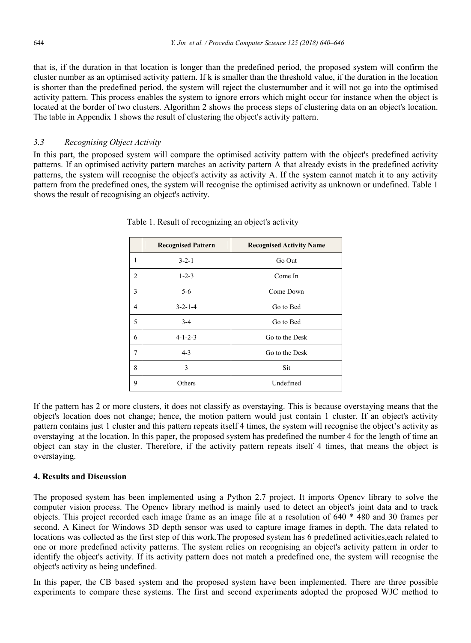that is, if the duration in that location is longer than the predefined period, the proposed system will confirm the cluster number as an optimised activity pattern. If k is smaller than the threshold value, if the duration in the location is shorter than the predefined period, the system will reject the clusternumber and it will not go into the optimised activity pattern. This process enables the system to ignore errors which might occur for instance when the object is located at the border of two clusters. Algorithm 2 shows the process steps of clustering data on an object's location. The table in Appendix 1 shows the result of clustering the object's activity pattern.

# *3.3 Recognising Object Activity*

In this part, the proposed system will compare the optimised activity pattern with the object's predefined activity patterns. If an optimised activity pattern matches an activity pattern A that already exists in the predefined activity patterns, the system will recognise the object's activity as activity A. If the system cannot match it to any activity pattern from the predefined ones, the system will recognise the optimised activity as unknown or undefined. Table 1 shows the result of recognising an object's activity.

|                | <b>Recognised Pattern</b> | <b>Recognised Activity Name</b> |
|----------------|---------------------------|---------------------------------|
| 1              | $3 - 2 - 1$               | Go Out                          |
| $\overline{2}$ | $1 - 2 - 3$               | Come In                         |
| 3              | $5 - 6$                   | Come Down                       |
| 4              | $3 - 2 - 1 - 4$           | Go to Bed                       |
| 5              | $3 - 4$                   | Go to Bed                       |
| 6              | $4 - 1 - 2 - 3$           | Go to the Desk                  |
| 7              | $4 - 3$                   | Go to the Desk                  |
| 8              | 3                         | Sit                             |
| 9              | Others                    | Undefined                       |

Table 1. Result of recognizing an object's activity

If the pattern has 2 or more clusters, it does not classify as overstaying. This is because overstaying means that the object's location does not change; hence, the motion pattern would just contain 1 cluster. If an object's activity pattern contains just 1 cluster and this pattern repeats itself 4 times, the system will recognise the object's activity as overstaying at the location. In this paper, the proposed system has predefined the number 4 for the length of time an object can stay in the cluster. Therefore, if the activity pattern repeats itself 4 times, that means the object is overstaying.

# **4. Results and Discussion**

The proposed system has been implemented using a Python 2.7 project. It imports Opencv library to solve the computer vision process. The Opencv library method is mainly used to detect an object's joint data and to track objects. This project recorded each image frame as an image file at a resolution of 640 \* 480 and 30 frames per second. A Kinect for Windows 3D depth sensor was used to capture image frames in depth. The data related to locations was collected as the first step of this work.The proposed system has 6 predefined activities,each related to one or more predefined activity patterns. The system relies on recognising an object's activity pattern in order to identify the object's activity. If its activity pattern does not match a predefined one, the system will recognise the object's activity as being undefined.

In this paper, the CB based system and the proposed system have been implemented. There are three possible experiments to compare these systems. The first and second experiments adopted the proposed WJC method to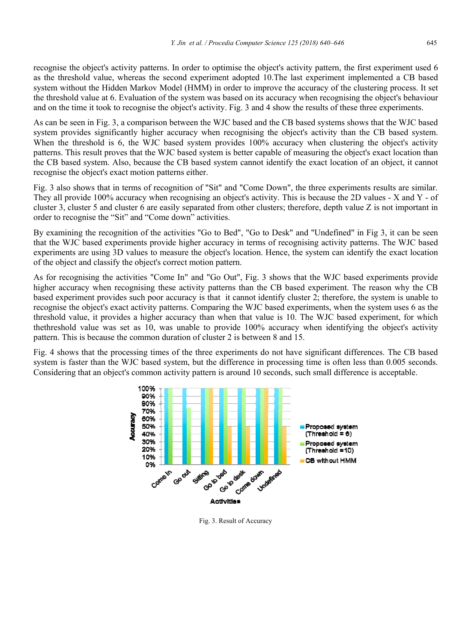recognise the object's activity patterns. In order to optimise the object's activity pattern, the first experiment used 6 as the threshold value, whereas the second experiment adopted 10.The last experiment implemented a CB based system without the Hidden Markov Model (HMM) in order to improve the accuracy of the clustering process. It set the threshold value at 6. Evaluation of the system was based on its accuracy when recognising the object's behaviour and on the time it took to recognise the object's activity. Fig. 3 and 4 show the results of these three experiments.

As can be seen in Fig. 3, a comparison between the WJC based and the CB based systems shows that the WJC based system provides significantly higher accuracy when recognising the object's activity than the CB based system. When the threshold is 6, the WJC based system provides 100% accuracy when clustering the object's activity patterns. This result proves that the WJC based system is better capable of measuring the object's exact location than the CB based system. Also, because the CB based system cannot identify the exact location of an object, it cannot recognise the object's exact motion patterns either.

Fig. 3 also shows that in terms of recognition of "Sit" and "Come Down", the three experiments results are similar. They all provide 100% accuracy when recognising an object's activity. This is because the 2D values - X and Y - of cluster 3, cluster 5 and cluster 6 are easily separated from other clusters; therefore, depth value Z is not important in order to recognise the "Sit" and "Come down" activities.

By examining the recognition of the activities "Go to Bed", "Go to Desk" and "Undefined" in Fig 3, it can be seen that the WJC based experiments provide higher accuracy in terms of recognising activity patterns. The WJC based experiments are using 3D values to measure the object's location. Hence, the system can identify the exact location of the object and classify the object's correct motion pattern.

As for recognising the activities "Come In" and "Go Out", Fig. 3 shows that the WJC based experiments provide higher accuracy when recognising these activity patterns than the CB based experiment. The reason why the CB based experiment provides such poor accuracy is that it cannot identify cluster 2; therefore, the system is unable to recognise the object's exact activity patterns. Comparing the WJC based experiments, when the system uses 6 as the threshold value, it provides a higher accuracy than when that value is 10. The WJC based experiment, for which thethreshold value was set as 10, was unable to provide 100% accuracy when identifying the object's activity pattern. This is because the common duration of cluster 2 is between 8 and 15.

Fig. 4 shows that the processing times of the three experiments do not have significant differences. The CB based system is faster than the WJC based system, but the difference in processing time is often less than 0.005 seconds. Considering that an object's common activity pattern is around 10 seconds, such small difference is acceptable.



Fig. 3. Result of Accuracy